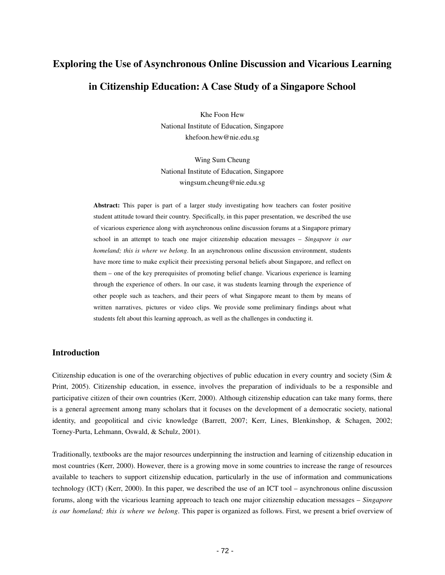# **Exploring the Use of Asynchronous Online Discussion and Vicarious Learning in Citizenship Education: A Case Study of a Singapore School**

Khe Foon Hew National Institute of Education, Singapore khefoon.hew@nie.edu.sg

Wing Sum Cheung National Institute of Education, Singapore wingsum.cheung@nie.edu.sg

**Abstract:** This paper is part of a larger study investigating how teachers can foster positive student attitude toward their country. Specifically, in this paper presentation, we described the use of vicarious experience along with asynchronous online discussion forums at a Singapore primary school in an attempt to teach one major citizenship education messages – *Singapore is our homeland; this is where we belong*. In an asynchronous online discussion environment, students have more time to make explicit their preexisting personal beliefs about Singapore, and reflect on them – one of the key prerequisites of promoting belief change. Vicarious experience is learning through the experience of others. In our case, it was students learning through the experience of other people such as teachers, and their peers of what Singapore meant to them by means of written narratives, pictures or video clips. We provide some preliminary findings about what students felt about this learning approach, as well as the challenges in conducting it.

## **Introduction**

Citizenship education is one of the overarching objectives of public education in every country and society (Sim & Print, 2005). Citizenship education, in essence, involves the preparation of individuals to be a responsible and participative citizen of their own countries (Kerr, 2000). Although citizenship education can take many forms, there is a general agreement among many scholars that it focuses on the development of a democratic society, national identity, and geopolitical and civic knowledge (Barrett, 2007; Kerr, Lines, Blenkinshop, & Schagen, 2002; Torney-Purta, Lehmann, Oswald, & Schulz, 2001).

Traditionally, textbooks are the major resources underpinning the instruction and learning of citizenship education in most countries (Kerr, 2000). However, there is a growing move in some countries to increase the range of resources available to teachers to support citizenship education, particularly in the use of information and communications technology (ICT) (Kerr, 2000). In this paper, we described the use of an ICT tool – asynchronous online discussion forums, along with the vicarious learning approach to teach one major citizenship education messages – *Singapore is our homeland; this is where we belong*. This paper is organized as follows. First, we present a brief overview of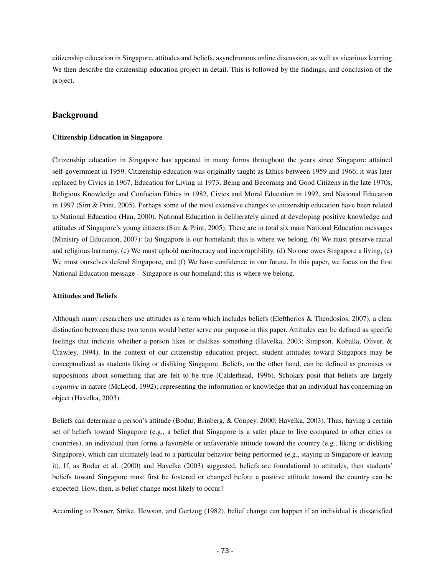citizenship education in Singapore, attitudes and beliefs, asynchronous online discussion, as well as vicarious learning. We then describe the citizenship education project in detail. This is followed by the findings, and conclusion of the project.

## **Background**

#### **Citizenship Education in Singapore**

Citizenship education in Singapore has appeared in many forms throughout the years since Singapore attained self-government in 1959. Citizenship education was originally taught as Ethics between 1959 and 1966; it was later replaced by Civics in 1967, Education for Living in 1973, Being and Becoming and Good Citizens in the late 1970s, Religious Knowledge and Confucian Ethics in 1982, Civics and Moral Education in 1992, and National Education in 1997 (Sim & Print, 2005). Perhaps some of the most extensive changes to citizenship education have been related to National Education (Han, 2000). National Education is deliberately aimed at developing positive knowledge and attitudes of Singapore's young citizens (Sim & Print, 2005). There are in total six main National Education messages (Ministry of Education, 2007): (a) Singapore is our homeland; this is where we belong, (b) We must preserve racial and religious harmony, (c) We must uphold meritocracy and incorruptibility, (d) No one owes Singapore a living, (e) We must ourselves defend Singapore, and (f) We have confidence in our future. In this paper, we focus on the first National Education message – Singapore is our homeland; this is where we belong.

#### **Attitudes and Beliefs**

Although many researchers use attitudes as a term which includes beliefs (Eleftherios & Theodosios, 2007), a clear distinction between these two terms would better serve our purpose in this paper. Attitudes can be defined as specific feelings that indicate whether a person likes or dislikes something (Havelka, 2003; Simpson, Koballa, Oliver, & Crawley, 1994). In the context of our citizenship education project, student attitudes toward Singapore may be conceptualized as students liking or disliking Singapore. Beliefs, on the other hand, can be defined as premises or suppositions about something that are felt to be true (Calderhead, 1996). Scholars posit that beliefs are largely *cognitive* in nature (McLeod, 1992); representing the information or knowledge that an individual has concerning an object (Havelka, 2003).

Beliefs can determine a person's attitude (Bodur, Brinberg, & Coupey, 2000; Havelka, 2003). Thus, having a certain set of beliefs toward Singapore (e.g., a belief that Singapore is a safer place to live compared to other cities or countries), an individual then forms a favorable or unfavorable attitude toward the country (e.g., liking or disliking Singapore), which can ultimately lead to a particular behavior being performed (e.g., staying in Singapore or leaving it). If, as Bodur et al. (2000) and Havelka (2003) suggested, beliefs are foundational to attitudes, then students' beliefs toward Singapore must first be fostered or changed before a positive attitude toward the country can be expected. How, then, is belief change most likely to occur?

According to Posner, Strike, Hewson, and Gertzog (1982), belief change can happen if an individual is dissatisfied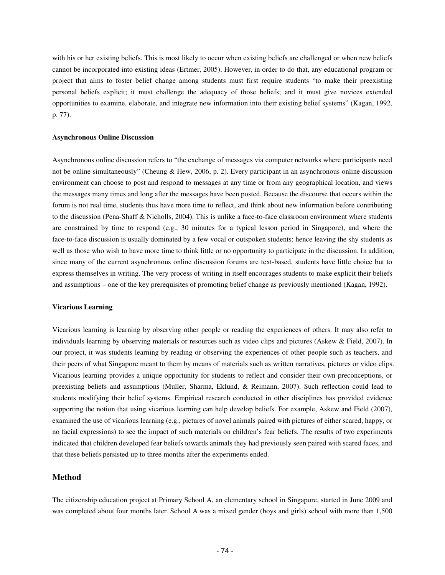with his or her existing beliefs. This is most likely to occur when existing beliefs are challenged or when new beliefs cannot be incorporated into existing ideas (Ertmer, 2005). However, in order to do that, any educational program or project that aims to foster belief change among students must first require students "to make their preexisting personal beliefs explicit; it must challenge the adequacy of those beliefs; and it must give novices extended opportunities to examine, elaborate, and integrate new information into their existing belief systems" (Kagan, 1992, p. 77).

#### **Asynchronous Online Discussion**

Asynchronous online discussion refers to "the exchange of messages via computer networks where participants need not be online simultaneously" (Cheung & Hew, 2006, p. 2). Every participant in an asynchronous online discussion environment can choose to post and respond to messages at any time or from any geographical location, and views the messages many times and long after the messages have been posted. Because the discourse that occurs within the forum is not real time, students thus have more time to reflect, and think about new information before contributing to the discussion (Pena-Shaff & Nicholls, 2004). This is unlike a face-to-face classroom environment where students are constrained by time to respond (e.g., 30 minutes for a typical lesson period in Singapore), and where the face-to-face discussion is usually dominated by a few vocal or outspoken students; hence leaving the shy students as well as those who wish to have more time to think little or no opportunity to participate in the discussion. In addition, since many of the current asynchronous online discussion forums are text-based, students have little choice but to express themselves in writing. The very process of writing in itself encourages students to make explicit their beliefs and assumptions – one of the key prerequisites of promoting belief change as previously mentioned (Kagan, 1992).

#### **Vicarious Learning**

Vicarious learning is learning by observing other people or reading the experiences of others. It may also refer to individuals learning by observing materials or resources such as video clips and pictures (Askew & Field, 2007). In our project, it was students learning by reading or observing the experiences of other people such as teachers, and their peers of what Singapore meant to them by means of materials such as written narratives, pictures or video clips. Vicarious learning provides a unique opportunity for students to reflect and consider their own preconceptions, or preexisting beliefs and assumptions (Muller, Sharma, Eklund, & Reimann, 2007). Such reflection could lead to students modifying their belief systems. Empirical research conducted in other disciplines has provided evidence supporting the notion that using vicarious learning can help develop beliefs. For example, Askew and Field (2007), examined the use of vicarious learning (e.g., pictures of novel animals paired with pictures of either scared, happy, or no facial expressions) to see the impact of such materials on children's fear beliefs. The results of two experiments indicated that children developed fear beliefs towards animals they had previously seen paired with scared faces, and that these beliefs persisted up to three months after the experiments ended.

## **Method**

The citizenship education project at Primary School A, an elementary school in Singapore, started in June 2009 and was completed about four months later. School A was a mixed gender (boys and girls) school with more than 1,500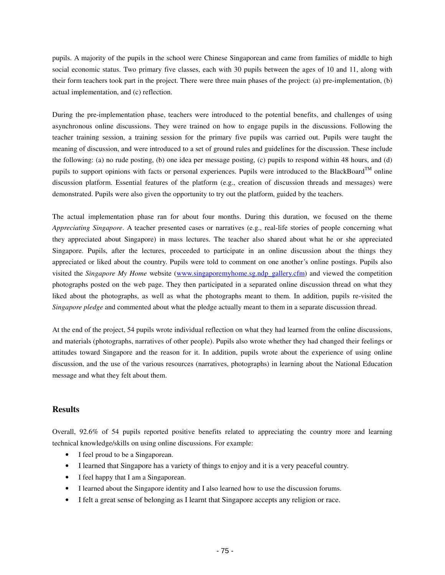pupils. A majority of the pupils in the school were Chinese Singaporean and came from families of middle to high social economic status. Two primary five classes, each with 30 pupils between the ages of 10 and 11, along with their form teachers took part in the project. There were three main phases of the project: (a) pre-implementation, (b) actual implementation, and (c) reflection.

During the pre-implementation phase, teachers were introduced to the potential benefits, and challenges of using asynchronous online discussions. They were trained on how to engage pupils in the discussions. Following the teacher training session, a training session for the primary five pupils was carried out. Pupils were taught the meaning of discussion, and were introduced to a set of ground rules and guidelines for the discussion. These include the following: (a) no rude posting, (b) one idea per message posting, (c) pupils to respond within 48 hours, and (d) pupils to support opinions with facts or personal experiences. Pupils were introduced to the BlackBoard<sup>TM</sup> online discussion platform. Essential features of the platform (e.g., creation of discussion threads and messages) were demonstrated. Pupils were also given the opportunity to try out the platform, guided by the teachers.

The actual implementation phase ran for about four months. During this duration, we focused on the theme *Appreciating Singapore*. A teacher presented cases or narratives (e.g., real-life stories of people concerning what they appreciated about Singapore) in mass lectures. The teacher also shared about what he or she appreciated Singapore. Pupils, after the lectures, proceeded to participate in an online discussion about the things they appreciated or liked about the country. Pupils were told to comment on one another's online postings. Pupils also visited the *Singapore My Home* website (www.singaporemyhome.sg.ndp\_gallery.cfm) and viewed the competition photographs posted on the web page. They then participated in a separated online discussion thread on what they liked about the photographs, as well as what the photographs meant to them. In addition, pupils re-visited the *Singapore pledge* and commented about what the pledge actually meant to them in a separate discussion thread.

At the end of the project, 54 pupils wrote individual reflection on what they had learned from the online discussions, and materials (photographs, narratives of other people). Pupils also wrote whether they had changed their feelings or attitudes toward Singapore and the reason for it. In addition, pupils wrote about the experience of using online discussion, and the use of the various resources (narratives, photographs) in learning about the National Education message and what they felt about them.

# **Results**

Overall, 92.6% of 54 pupils reported positive benefits related to appreciating the country more and learning technical knowledge/skills on using online discussions. For example:

- I feel proud to be a Singaporean.
- I learned that Singapore has a variety of things to enjoy and it is a very peaceful country.
- I feel happy that I am a Singaporean.
- I learned about the Singapore identity and I also learned how to use the discussion forums.
- I felt a great sense of belonging as I learnt that Singapore accepts any religion or race.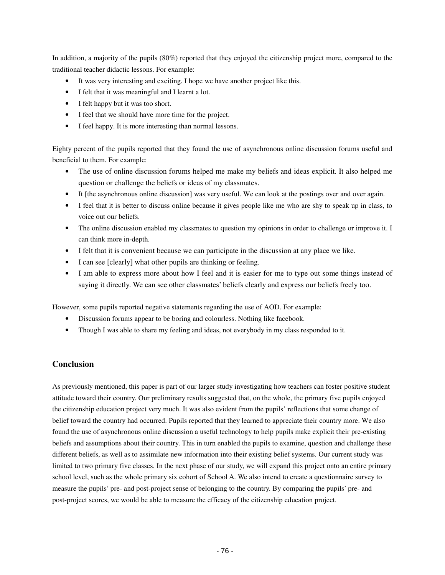In addition, a majority of the pupils (80%) reported that they enjoyed the citizenship project more, compared to the traditional teacher didactic lessons. For example:

- It was very interesting and exciting. I hope we have another project like this.
- I felt that it was meaningful and I learnt a lot.
- I felt happy but it was too short.
- I feel that we should have more time for the project.
- I feel happy. It is more interesting than normal lessons.

Eighty percent of the pupils reported that they found the use of asynchronous online discussion forums useful and beneficial to them. For example:

- The use of online discussion forums helped me make my beliefs and ideas explicit. It also helped me question or challenge the beliefs or ideas of my classmates.
- It [the asynchronous online discussion] was very useful. We can look at the postings over and over again.
- I feel that it is better to discuss online because it gives people like me who are shy to speak up in class, to voice out our beliefs.
- The online discussion enabled my classmates to question my opinions in order to challenge or improve it. I can think more in-depth.
- I felt that it is convenient because we can participate in the discussion at any place we like.
- I can see [clearly] what other pupils are thinking or feeling.
- I am able to express more about how I feel and it is easier for me to type out some things instead of saying it directly. We can see other classmates' beliefs clearly and express our beliefs freely too.

However, some pupils reported negative statements regarding the use of AOD. For example:

- Discussion forums appear to be boring and colourless. Nothing like facebook.
- Though I was able to share my feeling and ideas, not everybody in my class responded to it.

# **Conclusion**

As previously mentioned, this paper is part of our larger study investigating how teachers can foster positive student attitude toward their country. Our preliminary results suggested that, on the whole, the primary five pupils enjoyed the citizenship education project very much. It was also evident from the pupils' reflections that some change of belief toward the country had occurred. Pupils reported that they learned to appreciate their country more. We also found the use of asynchronous online discussion a useful technology to help pupils make explicit their pre-existing beliefs and assumptions about their country. This in turn enabled the pupils to examine, question and challenge these different beliefs, as well as to assimilate new information into their existing belief systems. Our current study was limited to two primary five classes. In the next phase of our study, we will expand this project onto an entire primary school level, such as the whole primary six cohort of School A. We also intend to create a questionnaire survey to measure the pupils' pre- and post-project sense of belonging to the country. By comparing the pupils' pre- and post-project scores, we would be able to measure the efficacy of the citizenship education project.